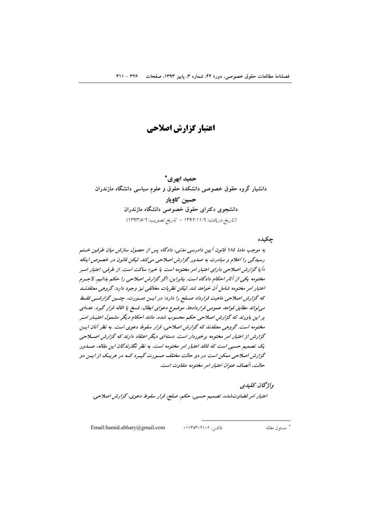اعتبار گزارش اصلاحی

حميد ابهري\* دانشیار گروه حقوق خصوصی دانشکدهٔ حقوق و علوم سیاسی دانشگاه مازندران حسين كاويار دانشجوی دکترای حقوق خصوصی دانشگاه مازندران (تاريخ دريافت: ١٣٩٢/١/٦ - تاريخ تصويب: ١٣٩٣/٥/٦)

چکیده

به موجب مادهٔ ١٨٤ قانون آیین دادرسی مدنی، دادگاه پس از حصول سازش میان طرفین خستم رسیدگی را اعلام و مبادرت به صدور گزارش اصلاحی می کند. لیکن قانون در خصوص اینکه «اً یا گزارش اصلاحی دارای اعتبار امر مختومه است یا خیر» ساکت است. از طرفی، اعتبار امسر مختومه یکی از آثار احکام دادگاه است. بنابراین، اگر گزارش اصلاحی را حکم بدانیم، لاجسرم اعتبار امر مختومه شامل آن خواهد شد. لیکن نظریات مخالفی نیز وجود دارد: گروهی معتقدنسد که گزارش اصلاحی ماهیت قرارداد صلح را دارد؛ در این صورت، چنسن گزارشبی فقیط می تواند مطابق قواعد عمومی قراردادها، موضوع دعوای ابطال، فسخ یا اقاله قرار گیرد. عدهای بر این باورند که گزارش اصلاحی حکم محسوب شده، مانند احکام دیگر مشمول اعتبار امسر مختومه است. گروهی معتقدند که گزارش اصلاحی، قرار سقوط دعوی است. به نظر آنان ایسن گزارش از اعتبار امر مختومه برخوردار است. دستهای دیگر اعتقاد دارند که گزارش اصلاحی یک تصمیم حسبی است که فاقد اعتبار امر مختومه است. به نظر نگارندگان این مقاله، صـدور گزارش اصلاحی ممکن است در دو حالت مختلف صورت گید د کـه در هر یـک از ایــز دو حالت، اتّصاف عنوان اعتبار امر مختومه متفاوت است.

واژىخان كىلىدى اعتبار امر قضاوت شده، تصمیم حسبی، حکم، صلح، قرار سقوط دعوی، گزارش اصلاحی.

Email:hamid.abhary@gmail.com

 $\cdot$ ا ۱۱۳۵۳۰۲۱۰۲ ن

\* مسئول مقاله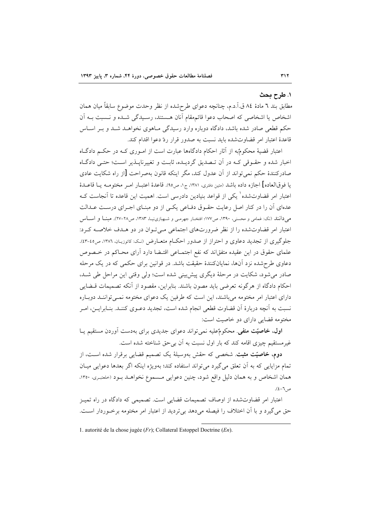### ١. طرح بحث

مطابق بند ٦ مادهٔ ٨٤ ق.آ.د.م، چنانچه دعوای طرحشده از نظر وحدت موضوع سابقاً میان همان اشخاص یا اشخاصی که اصحاب دعوا قائمهقام آنان هـستند، رسـیدگی شـده و نـسبت بــه اَن حکم قطعی صادر شده باشد، دادگاه دوباره وارد رسیدگی مـاهوی نخواهــد شــد و بــر اســاس قاعدهٔ اعتبار امر قضاوتشده باید نسبت به صدور قرار ردّ دعوا اقدام کند.

اعتبار قضیهٔ محکومٌبه از آثار احکام دادگاهها عبارت است از امـوری کـه در حکـم دادگــاه اخبار شده و حقـوقی کـه در آن تـصدیق گردیـده، ثابـت و تغییرناپــذیر اسـت؛ حتـی دادگـاه صادرکنندهٔ حکم نمی تواند از آن عدول کند، مگر اینکه قانون بهصراحت [از راه شکایت عادی يا فوقالعاده] اجازه داده باشد (متين دفتري، ١٣٨١، ج١، ص٩٥). قاعدة اعتبــار امــر مختومــه يــا قاعــدة اعتبار امر قضاوتشده` یکی از قواعد بنیادین دادرسی است. اهمیت این قاعده تا آنجاست کـه عدهای آن را در کنار اصل رعایت حقـوق دفـاعی یکـی از دو مبنـای اجـرای درسـت عـدالت می دانند (نک: غمامی و محسنی، ۱۳۹۰، ص۱۷۷؛ افتخـار جهرمـی و شـهبازی:یـا، ۱۳۸۳، ص۲۸-۲۷). مبنــا و اســاس اعتبار امر قضاوتشده را از نظر ضرورتهای اجتماعی مے تبوان در دو هـدف خلاصــه کـرد: جلوگیری از تجدید دعاوی و احتراز از صدور احکام متعـارض (نـک: کاتوزیـان، ١٣٨٦، ص٤٥-٤٣). علمای حقوق در این عقیده متفقاند که نفع اجتمـاعی اقتـضا دارد آرای محـاکم در خـصوص دعاوی طرح شده نزد آنها، نمایانکنندهٔ حقیقت باشد. در قوانین برای حکمی که در یک مرحله صادر می شود، شکایت در مرحلهٔ دیگری پیشبینی شده است؛ ولی وقتی این مراحل طی شـد، احکام دادگاه از هرگونه تعرضی باید مصون باشند. بنابراین، مقصود از آنکه تصمیمات قــضایی دارای اعتبار امر مختومه می باشند، این است که طرفین یک دعوای مختومه نمــی تواننــد دوبــاره نسبت به آنچه دربارهٔ آن قضاوت قطعی انجام شده است، تجدید دعـوی کننـد. بنـابرایـن، امـر مختومه قضایی دارای دو خاصیت است:

اول، خاصیّت منفی. محکومٌعلیه نمیتواند دعوای جدیدی برای بهدست آوردن مستقیم یـا غیر مستقیم چیزی اقامه کند که بار اول نسبت به آن بی حق شناخته شده است.

**دوم، خاصیّت مثبت**. شخصی که حقش بهوسیلهٔ یک تصمیم قضایی برقرار شده اسـت، از تمام مزایایی که به آن تعلق میگیرد میتواند استفاده کند؛ بهویژه اینکه اگر بعدها دعوایی میـان همان اشخاص و به همان دلیل واقع شود، چنین دعوایی مـسموع نخواهــد بــود (حلعتبـری، ۱۳۵۰،  $(2-\zeta)$ .

اعتبار امر قضاوتشده از اوصاف تصمیمات قضایی است. تصمیمی که دادگاه در راه تمیـز حق می گیرد و با آن اختلاف را فیصله میدهد بی تردید از اعتبار امر مختومه برخوردار است.

1. autorité de la chose jugée ( $Fr$ ); Collateral Estoppel Doctrine ( $En$ ).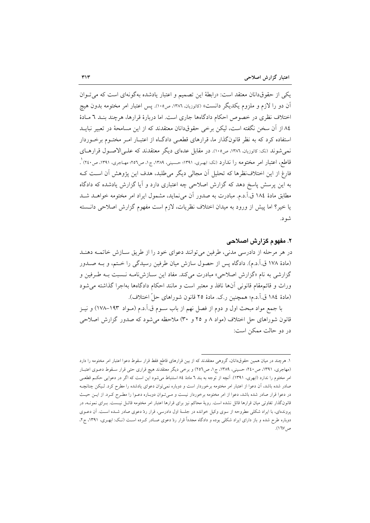یکی از حقوقدانان معتقد است: «رابطهٔ این تصمیم و اعتبار یادشده بهگونهای است که می توان آن دو را لازم و ملزوم یکدیگر دانست» (کاتوزیان. ۱۳۸۶، ص۱۰۵). پس اعتبار امر مختومه بدون هیچ اختلاف نظری در خصوص احکام دادگاهها جاری است. اما دربارهٔ قرارها، هرچند بنـد ٦ مـادهٔ ٨٤ از آن سخن نگفته است، ليكن برخي حقوقدانان معتقدند كه از اين مسامحهٔ در تعبير نبايــد استفاده کرد که به نظر قانونگذار ما، قرارهای قطعی دادگـاه از اعتبـار امـر مختـوم برخـوردار نمی شوند (نک: کاتوزیان، ۱۳۸٦، ص۱۰۵). در مقابل عدمای دیگر معتقدند که علـیالاصـول قرارهـای قاطع، اعتبار امر مختومه را ندارد (نک: ابهـري، ۱۳۹۱؛ حـسیني، ۱۳۸۹، ج۱، ص٥٦؛ مهـاجري، ۱۳۹۱، ص٢٤٠) ْ. فارغ از این اختلافنظرها که تحلیل آن مجالی دیگر می طلبد، هدف این پژوهش آن است ک به این پرسش پاسخ دهد که گزارش اصلاحی چه اعتباری دارد و آیا گزارش یادشده که دادگاه مطابق مادهٔ ١٨٤ ق.آ.د.م. مبادرت به صدور آن می نماید، مشمول ایراد امر مختومه خواهـد شـد يا خير؟ اما پيش از ورود به ميدان اختلاف نظريات، لازم است مفهوم گزارش اصلاحي دانــسته شو د.

# ۲. مفهوم گزارش اصلاحی

در هر مرحله از دادرسی مدنی، طرفین میتوانند دعوای خود را از طریق سازش خاتمـه دهنـد (مادهٔ ۱۷۸ ق.آ.د.م). دادگاه پس از حصول سازش میان طرفین رسیدگی را ختم، و بـه صــدور گزارشی به نام «گزارش اصلاحی» مبادرت می کند. مفاد این سـازشiامـه نـسبت بـه طـرفین و وراث و قائمهقام قانونی آنها نافذ و معتبر است و مانند احکام دادگاهها بهاجرا گذاشته می شود (مادة ١٨٤ ق.آ.د.م؛ همچنين ر.ک. مادة ٢٥ قانون شوراهاي حلِّ اختلاف).

با جمع مواد مبحث اول و دوم از فصل نهم از باب ســوم ق.آ.د.م (مــواد ۱۹۳–۱۷۸) و نيــز قانون شوراهای حل اختلاف (مواد ۸ و ۲۵ و ۳۰) ملاحظه میشود که صدور گزارش اصلاحی در دو حالت ممکن است:

۱. هرچند در میان همین حقوقدانان، گروهی معتقدند که از بین قرارهای قاطع فقط قرار سقوط دعوا اعتبار امر مختومه را دارد (مهاجری، ۱۳۹۱، ص۲٤۰؛ حسینی، ۱۳۸۹، ج۱، ص۲٥٦) و برخی دیگر معتقدند هیچ قراری حتی قرار سـقوط دعــوی اعتبــار امر مختوم را ندارد (ابهري، ١٣٩١). آنچه از توجه به بند ٦ مادهٔ ٨٤ استنباط مي شود اين است كه اگر در دعوايي حكـم قطعـي صادر شده باشد، آن دعوا از اعتبار امر مختومه برخوردار است و دوباره نمیٍتوان دعوای یادشده را مطرح کرد. لـیکن چنانچـه در دعوا قرار صادر شده باشد، دعوا از امر مختومه برخوردار نیست و مـیتـوان دوبـاره دعـوا را مطـرح کـرد. از ایــن حیـث قانونگذار تفاوتی میان قرارها قائل نشده است. رویهٔ محاکم نیز برای قرارها اعتبار امر مختومه قائـل نیـست. بــرای نمونــه، در پروندهای، با ایراد شکلی مطروحه از سوی وکیل خوانده در جلسهٔ اول دادرسی، قرار ردّ دعوی صادر شـده اسـت. آن دعــوی دوباره طرح شده و باز دارای ایراد شکلی بوده و دادگاه مجدداً قرار ردّ دعوی صـادر کـرده اسـت (نـک: ابهـری، ۱۳۹۱، ج۲، ص ١٦٧).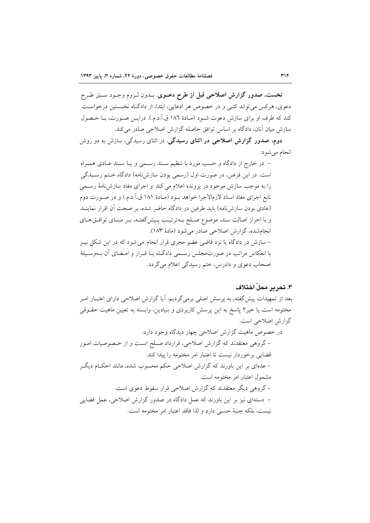**نخست**، صدور گزارش اصلاحی قبل از طرح دعــوی<sub>.</sub> بــدون لــزوم وجــود ســبق طــرح دعوی، هرکس می تواند کتبی و در خصوص هر ادعایی، ابتدا، از دادگاه نخستین درخواست كند كه طرف او براي سازش دعوت شـود (مـادهٔ ۱۸۶ ق.اً.د.م.). درايـن صـورت، بـا حـصول سازش میان آنان، دادگاه بر اساس توافق حاصله گزارش اصلاحی صادر میکند.

دوم، صدور گزارش اصلاحی در اثنای رسیدگی. در اثنای رسیدگی، سازش به دو روش انجام مي شود:

– در خارج از دادگاه و حسب مورد با تنظیم سـند رسـمی و یــا سـند عــادی همــراه است. در این فرض، در صورت اول (رسمی بودن سازشنامه) دادگاه ختم رسیدگی را به موجب سازش موجود در پرونده اعلام می کند و اجرای مفاد سازش نامهٔ رسـمی تابع اجرای مفاد اسناد لازمالاجرا خواهد بـود (مـادهٔ ۱۸۱ ق.آ.د.م.) و در صـورت دوم (عادی بودن سازشنامه) باید طرفین در دادگاه حاضر شده، بر صحت آن اقرار نماینـد و با احراز اصالت سند، موضوع صلح بـهترتيب پـيشگفتـه، بـر مبنـاي توافـق هـاي انجامشده، گزارش اصلاحی صادر می شود (مادهٔ ۱۸۳). – سازش در دادگاه یا نزد قاضی عضو مجری قرار انجام می شود که در این شکل نیـز با انعکاس مراتب در صورتمجلس رسمی دادگـاه یـا قـرار و امـضای آن بـهوسـیلهٔ اصحاب دعوي و دادرس، ختم رسيدگي اعلام مي گردد.

# ٣. تحر بر محلّ اختلاف

بعد از تمهیدات پیش گفته، به پرسش اصلی برمیگردیم: آیا گزارش اصلاحی دارای اعتبــار امــر مختومه است یا خیر؟ پاسخ به این پرسش کاربردی و بنیادین، وابسته به تعیین ماهیت حقــوقی گزارش اصلاحی است.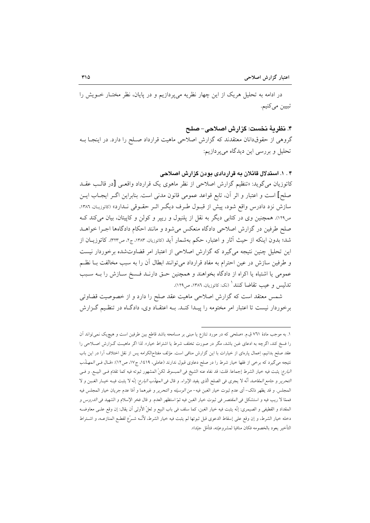در ادامه به تحلیل هریک از این چهار نظریه میپردازیم و در پایان، نظر مختـار خــویش را تبيين مي كنيم.

۴. نظريهٔ نخست: گزارش اصلاحی–صلح

گروهی از حقوقدانان معتقدند که گزارش اصلاحی ماهیت قرارداد صـلح را دارد. در اینجـا بـه تحلیل و بررسی این دیدگاه میپردازیم:

# ۴ . ۱. استدلال قائلان به قراردادی بودن گزارش اصلاحی

کاتوزیان میگوید: «تنظیم گزارش اصلاحی از نظر ماهوی یک قرارداد واقعـی [در قالـب عقــد صلح] است و اعتبار و اثر أن، تابع قواعد عمومي قانون مدنى است. بنابراين اگـر ايجـاب ايـن سازش نزد دادرس واقع شود، پیش از قبـول طـرف دیگـر اثـر حقـوقی نـدارد» (کاتوزیـان، ۱۳۸۶، ص۱۲۹). همچنین وی در کتابی دیگر به نقل از پلنیول و ریپر و کولن و کاپیتان، بیان میکند ک صلح طرفین در گزارش اصلاحی دادگاه منعکس می شود و مانند احکام دادگاهها اجـرا خواهــد شد؛ بدون اینکه از حیث آثار و اعتبار، حکم بهشمار آید (کاتوزیان، ۱۳۸۳، ج۲، ص۳۲۳). کاتوزیــان از این تحلیل چنین نتیجه میگیرد که گزارش اصلاحی از اعتبار امر قضاوتشده برخوردار نیست و طرفین سازش در عین احترام به مفاد قرارداد می توانند ابطال آن را به سبب مخالفت بـا نظـم عمومي يا اشتباه يا اكراه از دادگاه بخواهند و همچنين حـق دارنـد فـسخ سـازش را بـه سـبب تدليس و عيب تقاضا كنند<sup>ا</sup> (نک: کاتوزيان، ١٣٨٦، ص١٢٩).

شمس معتقد است که گزارش اصلاحی ماهیت عقد صلح را دارد و از خصوصیت قضاوتی برخوردار نیست تا اعتبار امر مختومه را پیـدا کنـد. بـه اعتقـاد وی، دادگـاه در تنظـیم گـزارش

١. به موجب مادهٔ ٧٦١ ق.م. «صلحي كه در مورد تنازع يا مبنى بر مسامحه باشد قاطع بين طرفين است و هيچيك نمي تواند آن را فسخ کند، اگرچه به ادعای غبن باشد، مگر در صورت تخلف شرط یا اشتراط خیار». لذا اگر ماهیـت گـزارش اصـلاحی را عقد صلح بدانیم، اِعمال پارهای از خیارات با این گزارش منافی است. مؤلف مفتاح|لکرامه پس از نقل اختلاف آرا در این باب نتیجه میگیرد که برخی از فقها خیار شرط را در صلح دعاوی قبول ندارند (عاملی، ۱۶۱۹، ج۱۷، ص۱۲): «قـال فـی *الـمهـذَب* البارع: يثبت فيه خيار الشرط إجماعا. قلت: قد نفاه عنه الشيخ في *المبسوط* لكنّ المشهور ثبوته فيه كما تقدّم فـي البيــع. و فـي *التحرير و جامع المقاصد* أنّه لا يجرى في الصلح الذي يفيد الإبراء. و قال في *المهانب البارع*: إنّه لا يثبت فيـه خيـار الغـبن و لا المجلس. و قد يظهر ذلك– أي عدم ثبوت خيار الغبن فيه– *من الوسيله و التحرير و غ*يرهما و أمّا عدم جريان خيار المجلس فيه فممّا لا ريب فيه و استشكل في *المقتصر في ثبوت خيار الغبن فيه ثمّ استظهر العدم. و قال فخر الإسلام و الشهيد في الدروس و* المقداد و القطيفي و الصيمري: إنّه يثبت فيه خيار الغبن، كما سلف في باب البيع و لعلّ الأولى أن يقال: إن وقع علـي معاوضـه دخله خيار الشرط، و إن وقع على إسقاط الدعوى قبل ثبوتها لم يثبت فيه خيار الشرط، لأنّــه شــرّع لقطــع المنازعــه، و اشــتراط التأخير يعود بالخصومه فكان منافيا لمشروعيّته، فتأمّل جيّدا».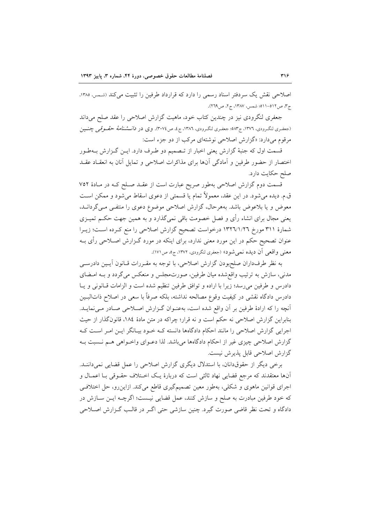اصلاحی نقش یک سردفتر اسناد رسمی را دارد که قرارداد طرفین را تثبیت می کند (شمس، ۱۳۸۵، ج۳، ص ٥١٢–٥١١٩؛ شمس، ١٣٨٧، ج٢، ص ٢٦٩).

جعفری لنگرودی نیز در چندین کتاب خود، ماهیت گزارش اصلاحی را عقد صلح میداند (جعفـری لنگـرودی، ١٣٧٦، ج٥٨٣؛ جعفـری لنگـرودی، ١٣٨٦، ج٤، ص٢٠٧٤). وی در *دانـــشنامهٔ حقــوقِي* چنــين مرقوم می دارد: «گزارش اصلاحی نوشتهای مرکب از دو جزء است:

قسمت اول که جنبهٔ گزارش یعنی اخبار از تـصمیم دو طـرف دارد. ایـن گـزارش بـهطـور اختصار از حضور طرفین و آمادگی آنها برای مذاکرات اصلاحی و تمایل آنان به انعقـاد عقـد صلح حكايت دارد.

قسمت دوم گزارش اصلاحی بهطور صریح عبارت است از عقـد صـلح کـه در مـادهٔ ۷۵۲ ق.م. ديده مي شود. در اين عقد، معمولاً تمام يا قسمتي از دعوى اسقاط مي شود و ممكن اسـت معوض و یا بلاعوض باشد. بههرحال، گزارش اصلاحی موضوع دعوی را منتفـی مـی گردانـد، یعنی مجال برای انشاء رأی و فصل خصومت باقی نمیگذارد و به همین جهت حکــم تمیــزی شمارهٔ ۳۱۱ مورخ ۱۳۲٦/۱/۲٦ درخواست تصحیح گزارش اصلاحی را منع کرده است؛ زیـرا عنوان تصحیح حکم در این مورد معنی ندارد، برای اینکه در مورد گـزارش اصـلاحی رأی بــه معنی واقعی آن دیده نمیشود» (جعفری لنگرودی، ۱۳۷۲، ج۵، ص۱۷۱).

به نظر طرفداران صلحبودن گزارش اصلاحی، با توجه به مقـررات قـانون آيـين دادرســي مدنی، سازش به ترتیب واقع شده میان طرفین، صورتمجلس و منعکس میگردد و بـه امـضای دادرس و طرفین میرسد؛ زیرا با اراده و توافق طرفین تنظیم شده است و الزامات قــانونی و یــا دادرس دادگاه نقشی در کیفیت وقوع مصالحه نداشته، بلکه صرفاً با سعی در اصلاح ذاتالبـین أنچه را كه ارادهٔ طرفین بر آن واقع شده است، بهعنـوان گـزارش اصـلاحی صـادر مـیiمایـد. بنابراین گزارش اصلاحی نه حکم است و نه قرار؛ چراکه در متن مادهٔ ۱۸۶، قانونگذار از حیث اجرایی گزارش اصلاحی را مانند احکام دادگاهها دانسته کـه خـود بیـانگر ایـن امـر اسـت کـه گزارش اصلاحی چیزی غیر از احکام دادگاهها میباشد. لذا دعـوای واخـواهی هـم نــسبت بــه گزارش اصلاحی قابل پذیرش نیست.

برخی دیگر از حقوقدانان، با استدلال دیگری گزارش اصلاحی را عمل قضایی نمیداننــد. آنها معتقدند که مرجع قضایی نهاد ثالثی است که دربارهٔ یک اختلاف حقـوقی بـا اعمـال و اجرای قوانین ماهوی و شکلی، بهطور معین تصمیمگیری قاطع میکند. ازاینررو، حل اختلافی که خود طرفین مبادرت به صلح و سازش کنند، عمل قضایی نیـست؛ اگرچــه ایــن ســازش در دادگاه و تحت نظر قاضی صورت گیرد. چنین سازشی حتی اگـر در قالـب گـزارش اصـلاحی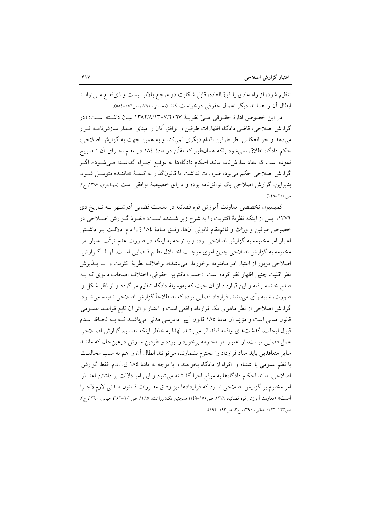تنظیم شود، از راه عادی یا فوقالعاده، قابل شکایت در مرجع بالاتر نیست و ذی نفـع مـی توانـد ابطال آن را همانند دیگر اعمال حقوقی درخواست کند (محسنی، ۱۳۹۱، ص٥٥٦-٥٥٤).

در اين خصوص ادارة حقــوقي طــيّ نظريــة ٧/٢٠٦٧-١٣٨٢/٨/١٣ بيــان داشــته اســت: «در گزارش اصلاحی، قاضی دادگاه اظهارات طرفین و توافق آنان را مبنای اصدار سازش نامـه قـرار میدهد و جز انعکاس نظر طرفین اقدام دیگری نمیکند و به همین جهت به گزارش اصلاحی، حکم دادگاه اطلاق نمیشود بلکه همانطور که مقنّن در مادهٔ ۱۸۶ در مقام اجـرای آن تـصریح نموده است که مفاد سازشiامه مانند احکام دادگاهها به موقـع اجـراء گذاشـته مـیشـود». اگـر گزارش اصلاحی حکم می بود، ضرورت نداشت تا قانونگذار به کلمـهٔ «ماننـد» متوسـل شـود. بنابراین، گزارش اصلاحی یک توافق نامه بوده و دارای خصیصهٔ توافقی است (مهاجری، ۱۳۸۷، ج۲، ص ۲۵۰–۲٤۹).

کمیسیون تخصصی معاونت آموزش قوه قضائیه در نشست قضایی اَذرشـهر بـه تـاریخ دی ۱۳۷۹، پس از اینکه نظریهٔ اکثریت را به شرح زیر شـنیده اسـت: «نفـوذ گـزارش اصـلاحی در خصوص طرفين و ورّاث و قائمهقام قانوني آنها، وفتى مـادة ١٨٤ ق.آ.د.م. دلالـت بـر داشـتن اعتبار امر مختومه به گزارش اصلاحی بوده و با توجه به اینکه در صورت عدم ترتّب اعتبار امر مختومه به گزارش اصلاحی چنین امری موجب اخـتلال نظـم قـضایی اسـت، لهـذا گـزارش اصلاحي مزبور از اعتبار امر مختومه برخوردار مي باشد»، برخلاف نظريهٔ اکثريت و بــا يــذيرش نظر اقلیت چنین اظهار نظر کرده است: «حسب دکترین حقوقی، اختلاف اصحاب دعوی که بـه صلح خاتمه یافته و این قرارداد از آن حیث که بهوسیلهٔ دادگاه تنظیم می گردد و از نظر شکل و صورت، شبیه رأی می باشد، قرارداد قضایی بوده که اصطلاحاً گزارش اصلاحی نامیده می شــود. گزارش اصلاحی از نظر ماهوی یک قرارداد واقعی است و اعتبار و اثر آن تابع قواعـد عمـومی قانون مدنی است و مؤیّد آن مادهٔ ۱۸۵ قانون آیین دادرسی مدنی میباشـد کـه بـه لحـاظ عـدم قبول ايجاب، گذشتهاي واقعه فاقد اثر مي باشد. لهذا به خاطر اينكه تصميم گزارش اصلاحي عمل قضایی نیست، از اعتبار امر مختومه برخوردار نبوده و طرفین سازش درعین حال که ماننـد سایر متعاقدین باید مفاد قرارداد را محترم بشمارند، می توانند ابطال آن را هم به سبب مخالفت با نظم عمومی یا اشتباه و اکراه از دادگاه بخواهند و با توجه به مادهٔ ۱۸٤ ق.آ.د.م. فقط گزارش اصلاحی، مانند احکام دادگاهها به موقع اجرا گذاشته می شود و این امر دلالت بر داشتن اعتبـار امر مختوم بر گزارش اصلاحی ندارد که قراردادها نیز وفـق مقـررات قـانون مـدنی لازمالاجـرا است» (معاونت آموزش قوه قضائيه، ١٣٧٨، ص١٥٠-١٤٩؛ همچنين نک: زراعت، ١٣٨٥، ص٦٠٢-٢٠٢: حياتي، ١٣٩٠، ج٢، ص1۲۳–۱۲۲؛ حیاتبی، ۱۳۹۰، ج۳، ص۱۹۲–۱۹۲).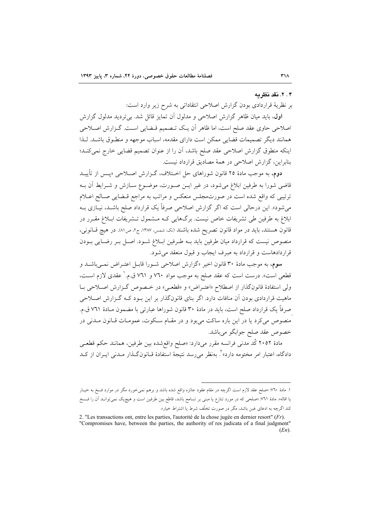#### ۲.۴. نقد نظر به

بر نظريهٔ قراردادي بودن گزارش اصلاحي انتقاداتي به شرح زير وارد است:

**اول،** باید میان ظاهر گزارش اصلاحی و مدلول آن تمایز قائل شد. بی تردید مدلول گزارش اصلاحی حاوی عقد صلح است، اما ظاهر أن یک تـصمیم قـضایی اسـت. گـزارش اصـلاحی همانند دیگر تصمیمات قضایی ممکن است دارای مقدمه، اسباب موجهه و منطـوق باشـد. لـذا اينكه منطوق گزارش اصلاحي عقد صلح باشد، آن را از عنوان تصميم قضايي خارج نمي كنـد؛ بنابراین، گزارش اصلاحی در همهٔ مصادیق قرارداد نیست.

دوم، به موجب مادهٔ ۲۵ قانون شوراهای حل اختلاف، گیزارش اصلاحی «پس از تأییید قاضی شورا به طرفین ابلاغ میشود، در غیر ایــن صــورت، موضــوع ســازش و شــرایط آن بــه ترتیبی که واقع شده است در صورتمجلس منعکس و مراتب به مراجع قبضایی صبالح اعبلام می شود». این درحالی است که اگر گزارش اصلاحی صرفاً یک قرارداد صلح باشـد، نیــازی بــه ابلاغ به طرفین طی تشریفات خاص نیست. برگهایی کـه مـشمول تـشریفات ابـلاغ مقـرر در قانون هستند، بايد در مواد قانون تصريح شده باشند (نک شمس، ١٣٨٧، ج٢، ص١٨). در هيچ قـانوني، منصوص نیست که قرارداد میان طرفین باید بـه طـرفین ابـلاغ شـود. اصـل بـر رضـایی بـودن قراردادهاست و قرارداد به صرف ایجاب و قبول منعقد می شود.

**سوم**، به موجب مادهٔ ۳۰ قانون اخیر «گزارش اصلاحی شـورا قابـل اعتـراض نمـیباشـد و قطعی است». درست است که عقد صلح به موجب مواد ۷۶۰ و ۷٦۱ ق.م. ٰ عقدی لازم اســت، ولي استفادهٔ قانونگذار از اصطلاح «اعتـراض» و «قطعـي» در خـصوص گـزارش اصـلاحي بـا ماهیت قراردادی بودن آن منافات دارد. اگر بنای قانونگذار بر این بـود کـه گـزارش اصـلاحی صرفاً یک قرارداد صلح است، باید در مادهٔ ۳۰ قانون شوراها عبارتی با مضمون مـادهٔ ۷۶۱ ق.م. منصوص می کرد یا در این باره ساکت می بود و در مقـام سـکوت، عمومـات قـانون مـدنی در خصوص عقد صلح جوابگو مي باشد.

مادهٔ ۲۰۵۲ کُد مدنی فرانسه مقرر میدارد: «صلح واقعشده بین طرفین، همانند حکم قطعـی دادگاه، اعتبار امر مختومه دارد»<sup>۲</sup>. بهنظر میرسد نتیجهٔ استفادهٔ قــانونگــذار مــدنی ایــران از کــد

۱. مادهٔ ۷۰: «صلح عقد لازم است اگرچه در مقام عقود جائزه واقع شده باشد و برهم نمیخورد مگر در موارد فسخ به خیـار یا اقاله». مادهٔ ۷٦۱٪ «صلحی که در مورد تنازع یا مبنی بر تسامح باشد، قاطع بین طرفین است و هیچیک نمی توانـد آن را فـسخ کند اگرچه به ادعای غبن باشد، مگر در صورت تخلّف شرط یا اشتراط خیار».

<sup>2. &</sup>quot;Les transactions ont, entre les parties, l'autorité de la chose jugée en dernier resort"  $(Fr)$ . "Compromises have, between the parties, the authority of res judicata of a final judgment"  $(En)$ .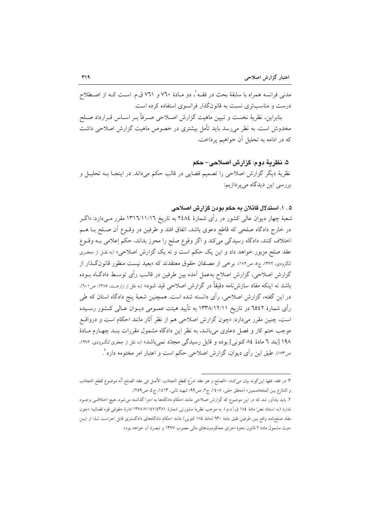مدنی فرانسه همراه با سابقهٔ بحث در فقـه'، دو مـادهٔ ۷۶۰ و ۷۶۱ ق.م. اسـت کـه از اصـطلاح درست و مناسبتری نسبت به قانونگذار فرانسوی استفاده کرده است. بنابراين، نظريهٔ نخست و تبيين ماهيت گزارش اصـلاحي صـرفاً بـر اسـاس قـرارداد صـلح مخدوش است. به نظر می رسد باید تأمل بیشتری در خصوص ماهیت گزارش اصلاحی داشت كه در ادامه به تحليل آن خواهيم پرداخت.

۵. نظريهٔ دوم: گزارش اصلاحي– حکم نظريهٔ ديگر گزارش اصلاحي را تصميم قضايي در قالب حکم ميداند. در اينجـا بــه تحليـل و بررسی این دیدگاه میپردازیم:

### ۵ . ۱. استدلال قائلان به حکم بودن گزارش اصلاحی

شعبهٔ چهار دیوان عالمی کشور در رأی شمارهٔ ۲٤۸٤ به تاریخ ۱۳۱٦/۱۱/۱۲ مقرر مـیدارد: «اگــر در خارج دادگاه صلحی که قاطع دعوی باشد، اتفاق افتد و طرفین در وقــوع آن صــلح بــا هــم اختلاف كنند، دادگاه رسيدگي ميكند و اگر وقوع صلح را محرز بداند، حكم إعلامي بـه وقــوع عقد صلح مزبور خواهد داد و این یک حکم است و نه یک گزارش اصلاحی» (به نقل از جعفری لنگرودی، ۱۳۷۲، ج۵، ص۱۷۲). برخی از مصنفان حقوق معتقدند که «بعید نیست منظور قانون گـذار از گزارش اصلاحی، گزارش اصلاح بهعمل آمده بین طرفین در قالـب رأی توسـط دادگــاه بــوده باشد نه اینکه مفاد سازشiامه دقیقاً در گزارش اصلاحی قید شود» (به نقل از زارعت، ۱۳۸۵، ص۱۰۱). در این گفته، گزارش اصلاحی، رأی دانسته شده است. همچنین شعبهٔ پنج دادگاه استان که طی رأی شمارهٔ ۲۵٤۲ در تاریخ ۱۳۳۸/۱۲/۱۱ به تأیید هیئت عمـومی دیـوان عـالی کـشور رسـیده است، چنین مقرر میدارد: «چون گزارش اصلاحی هم از نظر آثار مانند احکام است و درواقع موجب ختم کار و فصل دعاوی می باشد، به نظر این دادگاه مشمول مقررات بنـد چهـارم مـادهٔ ۱۹۸ [بند ٦ مادهٔ ٨٤ كنونى] بوده و قابل رسيدگى مجلد نمىباشد» (به نقل از جعفرى لنگرودى، ١٣٧٢، ص١٧٣). طبق اين رأى ديوان، گزارش اصلاحي حكم است و اعتبار امر مختومه دارد ً.

٣. در فقه، فقها اين گونه بيان مي كنند: «الصلح و هو عقد شرَّع لقطع التجاذب. الأصل في عقد الصلح أنَّه موضوع لقطع التجاذب و التنازع بين المتخاصمين» (محقق حلي، ١٤٠٨، ج ٢، ص٩٩؛ شهيد ثاني، ١٤١٣، ج ٤، ص٢٥٩).

۲. باید یادآور شد که در این موضوع که گزارش اصلاحی مانند احکام دادگاهها به اجرا گذاشته می شود، هیچ اختلافی وجـود ندارد (به استناد نصّ مادهٔ ١٨٤ ق.آ.د.م.). به موجب نظريهٔ مشورتي شمارهٔ ١٣٧٨/٧/١٤٧/٤٣٨ ادارهٔ حقوقي قوه قضائيه: «چون مفاد صلحنامه واقع بین طرفین طبق مادهٔ ٦٣٠ (مادهٔ ١٨٤ کنونی) مانند احکام دادگاههای دادگستری قابل اجراست لـذا از ایــن حیث مشمول مادهٔ ۲ قانون نحوهٔ اجرای محکومیتهای مالی مصوب ۱۳۷۷ و تبصرهٔ اَن خواهد بود».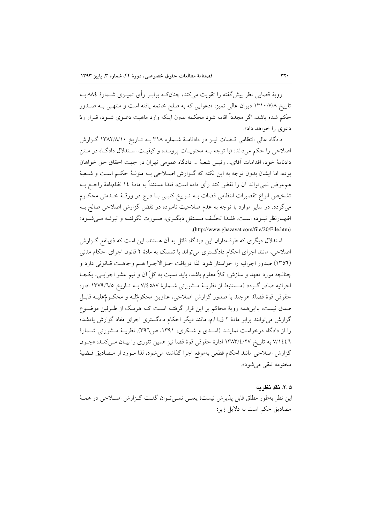رویهٔ قضایی نظر پیش گفته را تقویت می کند، چنانکـه برابـر رأی تمیــزی شــمارهٔ ۸۸٤ بـه تاریخ ۱۳۱۰/۷/۸ دیوان عالی تمیز: «دعوایی که به صلح خاتمه یافته است و منتهی بـه صـدور حکم شده باشد، اگر مجدداً اقامه شود محکمه بدون اینکه وارد ماهیت دعــوی شــود، قــرار ردّ دعوی را خواهد داد».

دادگاه عالی انتظامی قـضات نیـز در دادنامـهٔ شـماره ۳۱۸ بـه تـاریخ ۱۳۸۲/۸/۱۰ گـزارش اصلاحی را حکم میداند: «با توجه بـه محتویـات پرونـده و کیفیـت اسـتدلال دادگـاه در مـتن دادنامهٔ خود، اقدامات آقای... رئیس شعبهٔ ... دادگاه عمومی تهران در جهت احقاق حق خواهان بوده، اما ایشان بدون توجه به این نکته که گـزارش اصـلاحی بـه منزلـهٔ حکـم اسـت و شـعبهٔ هم،عرض نمي تواند آن را نقض كند رأى داده است، فلذا مستنداً به مادهٔ ١٤ نظامنامهٔ راجـع بــه تشخيص انواع تقصيرات انتظامى قضات بـه تـوبيخ كتبـي بـا درج در ورقـهٔ خـدمتى محكـوم می گردد. در سایر موارد با توجه به عدم صلاحیت نامبرده در نقض گزارش اصلاحی صالح بـه اظهـارنظر نبـوده اسـت. فلـذا تخلُّـف مـستقل ديگـري، صـورت نگرفتـه و تبرئـه مـيشـود» .(http://www.ghazavat.com/file/20/File.htm)

استدلال دیگری که طرفداران این دیدگاه قائل به آن هستند، این است که ذینفع گـزارش اصلاحی، مانند اجرای احکام دادگستری میتواند با تمسک به مادهٔ ۲ قانون اجرای احکام مدنی (١٣٥٦) صدور اجرائيه را خواستار شود. لذا دريافت حـقالاجـرا هـم وجاهـت قـانوني دارد و چنانچه مورد تعهد و سازش، کلاً معلوم باشد، باید نسبت به کلّ اَن و نیم عشر اجرایـی، یکجـا اجرائيه صادر گـردد (مـستنبط از نظريــهٔ مــشورتی شــمارهٔ ۷/٤٥٨٧ بــه تـاريخ ١٣٧٩/٦/٥ اداره حقوقي قوة قضا). هرچند با صدور گزارش اصلاحي، عناوين محکوم ّلـه و محکـومٌعليـه قابـل صدق نیست، بااینِهمه رویهٔ محاکم بر این قرار گرفتـه اسـت کـه هریـک از طـرفین موضـوع گزارش می توانند برابر مادهٔ ۲ ق.ا.ا.م، مانند دیگر احکام دادگستری اجرای مفاد گزارش یادشده را از دادگاه درخواست نماینـد (اسـدی و شـکری، ۱۳۹۱، ص۳۹٦). نظریـهٔ مـشورتی شـمارهٔ ٧/١٤٤٦ به تاريخ ١٣٨٣/٤/٢٧ ادارة حقوقي قوة قضا نيز همين تئوري را بيان مـي كنـد: «چـون گزارش اصلاحی مانند احکام قطعی بهموقع اجرا گذاشته می شود، لذا مـورد از مـصادیق قـضیهٔ مختومه تلقي مي شود».

#### ٢.۵. نقد نظريه

این نظر بهطور مطلق قابل پذیرش نیست؛ یعنبی نمبی تـوان گفـت گـزارش اصـلاحی در همـهٔ مصاديق حكم است به دلايل زير: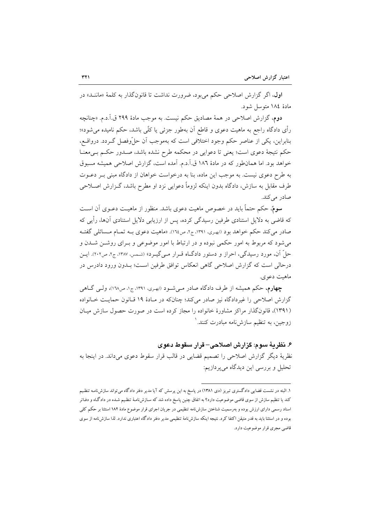**اول**، اگر گزارش اصلاحی حکم می بود، ضرورت نداشت تا قانون گذار به کلمهٔ «ماننــد» در مادهٔ ۱۸٤ متوسل شود.

دوم، گزارش اصلاحی در همهٔ مصادیق حکم نیست. به موجب مادهٔ ۲۹۹ ق.آ.د.م. «چنانچه رأى دادگاه راجع به ماهيت دعوى و قاطع آن بهطور جزئي يا كلّي باشد، حكم ناميده مي شود»؛ بنابراین، یکی از عناصر حکم وجود اختلافی است که بهموجب اَن حلّ وفصل گـردد. درواقــع، حکم نتیجهٔ دعوی است؛ یعنی تا دعوایی در محکمه طرح نشده باشد، صـدور حکـم بـیمعنـا خواهد بود. اما همانطور که در مادهٔ ۱۸۲ ق.آ.د.م. آمده است، گزارش اصلاحی همیشه مسبوق به طرح دعوی نیست. به موجب این ماده، بنا به درخواست خواهان از دادگاه مبنی بـر دعــوت طرف مقابل به سازش، دادگاه بدون اینکه لزوماً دعوایی نزد او مطرح باشد، گـزارش اصـلاحی صادر مے کند.

سومٌ، حکم حتماً باید در خصوص ماهیت دعوی باشد. منظور از ماهیـت دعـوی آن اسـت که قاضی به دلایل استنادی طرفین رسیدگی کرده، پس از ارزیابی دلایل استنادی آنها، رأیی که صادر می کند حکم خواهد بود (ابهری، ۱۳۹۱، ج۲، ص١٦٤). «ماهیت دعوی بـه تمــام مــسائلی گفتــه می شود که مربوط به امور حکمی نبوده و در ارتباط با امور موضوعی و بـرای روشــن شــدن و حلّ آن، مورد رسیدگی، احراز و دستور دادگـاه قــرار مــیگیــرد» (شــمس، ۱۳۸۷، ج۲، ص۲۰۲). ایــن درحالي است كه گزارش اصلاحي گاهي انعكاس توافق طرفين اسـت؛ بــدون ورود دادرس در ماهيت دعوي.

چهارم، حکم همیشه از طرف دادگاه صادر میشود (ابهری، ۱۳۹۱، ج۱، ص۱۲۸)، ولـم گـاهم گزارش اصلاحی را غیردادگاه نیز صادر میکند؛ چنانکه در مـادهٔ ۱۹ قـانون حمایـت خـانواده (۱۳۹۱)، قانونگذار مراکز مشاورهٔ خانواده را مجاز کرده است در صورت حصول سازش میـان زوجین، به تنظیم سازشiامه مبادرت کنند. ٰ

# ۶. نظريهٔ سوم: گزارش اصلاحی– قرار سقوط دعوی

نظریهٔ دیگر گزارش اصلاحی را تصمیم قضایی در قالب قرار سقوط دعوی میداند. در اینجا به تحليل و بررسي اين ديدگاه مي پر دازيم:

۱. البته در نشست قضایی دادگستری تبریز (دی ۱۳۸۱) در پاسخ به این پرسش که آیا مدیر دفتر دادگاه می تواند سازشiامـه تنظـیم کند یا تنظیم سازش از سوی قاضی موضوعیت دارد؟ به اتفاق چنین پاسخ داده شد که سـازشiامـهٔ تنظـیم شـده در دادگـاه و دفـاتر اسناد رسمی دارای ارزش بوده و بهرسمیت شناختن سازشiامه تنظیمی در جریان اجرای قرار موضوع مادهٔ ۱۸۲ استثنا بر حکم کلی بوده و در استثنا باید به قدر متیقن اکتفا کرد. نتیجه اینکه سازشiمهٔ تنظیمی مدیر دفتر دادگاه اعتباری ندارد. لذا سازشiامه از سوی قاضی مجری قرار موضوعیت دارد.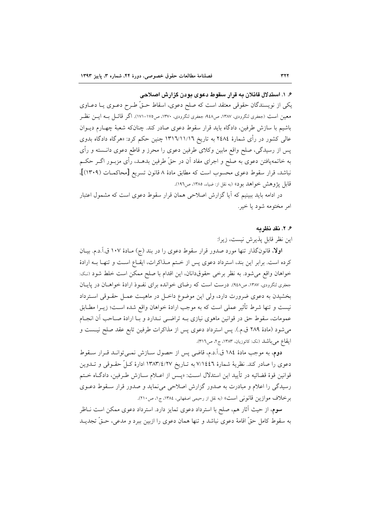۶. ۱. استدلال قائلان به قرار سقوط دعوی بودن گزارش اصلاحی یکی از نویسندگان حقوقی معتقد است که صلح دعوی، اسقاط حــقٌ طـرح دعــوی یــا دعــاوی معین است (جعفری لنگرودی، ۱۳۸۷، ص۹٤۸؛ جعفری لنگرودی، ۱۳۷۰، ص۱۷۵-۱۷۱). اگر قائــل بــه ایــن نظــر باشیم با سازش طرفین، دادگاه باید قرار سقوط دعوی صادر کند. چنانکه شعبهٔ چهـارم دیــوان عالمی کشور در رأی شمارهٔ ۲٤۸٤ به تاریخ ۱۳۱٦/۱۱/۱۲ چنین حکم کرد: «هرگاه دادگاه بدوی پس از رسیدگی، صلح واقع مابین وکلای طرفین دعوی را محرز و قاطع دعوی دانــسته و رأی به خاتمهیافتن دعوی به صلح و اجرای مفاد آن در حقّ طرفین بدهــد، رأی مزبــور اگــر حکــم نباشد، قرار سقوط دعوى محسوب است كه مطابق مادهٔ ۸ قانون تسریع [محاكمـات (۱۳۰۹)]، قابل پژوهش خواهد بود» (به نقل از: ضیاء، ۱۳۸۵، ص۱۹۲).

در ادامه باید ببینیم که اَیا گزارش اصلاحی همان قرار سقوط دعوی است که مشمول اعتبار امر مختومه شود يا خير.

# ۶. ۲. فقد فظ مه

این نظر قابل پذیرش نیست، زیرا:

اولا، قانونگذار تنها مورد صدور قرار سقوط دعوی را در بند (ج) مـادهٔ ۱۰۷ ق.آ.د.م. بیـان كرده است. برابر اين بند، استرداد دعوى پس از ختم مـذاكرات، ايقـاع اسـت و تنهـا بـه ارادهٔ خواهان واقع می شود. به نظر برخی حقوقدانان، این اقدام با صلح ممکن است خلط شود (نک: جعفری لنگرودی، ۱۳۸۷، ص۹٤۸). درست است که رضای خوانده برای نفوذ ارادهٔ خواهان در پایان بخشیدن به دعوی ضرورت دارد، ولی این موضوع داخـل در ماهیـت عمـل حقـوقی اسـترداد نیست و تنها شرط تأثیر عملی است که به موجب ارادهٔ خواهان واقع شده اسـت؛ زیــرا مطــابق عمومات، سقوط حق در قوانین ماهوی نیازی بـه تراضـی نـدارد و بـا ارادهٔ صـاحب آن انجـام می شود (مادهٔ ۲۸۹ ق.م.). پس استرداد دعوی پس از مذاکرات طرفین تابع عقد صلح نیست و ايقاع مي باشد (نک: کاتوزيان، ١٣٨٣، ج٢، ص٣١٦).

دوم، به موجب مادهٔ ١٨٤ ق.آ.د.م، قاضي پس از حصول ســازش نمــي توانــد قــرار ســقوط دعوی را صادر کند. نظریهٔ شمارهٔ ۷/۱٤٤٦ به تـاریخ ۱۳۸۳/٤/۲۷ ادارهٔ کـلّ حقـوقی و تــدوین قوانین قوهٔ قضائیه در تأیید این استدلال اسـت: «پـس از اعــلام ســازش طــرفین، دادگــاه خــتم رسیدگی را اعلام و مبادرت به صدور گزارش اصلاحی می نماید و صدور قرار سـقوط دعـوی برخلاف موازين قانوني است» (به نقل از رحيمي اصفهاني، ١٣٨٤، ج١، ص٢١٠).

سوم، از حیث آثار هم، صلح با استرداد دعوی تمایز دارد. استرداد دعوی ممکن است نــاظر به سقوط كامل حقَّ اقامهٔ دعوى نباشد و تنها همان دعوى را ازبين ببرد و مدعى، حـقَّ تجديــد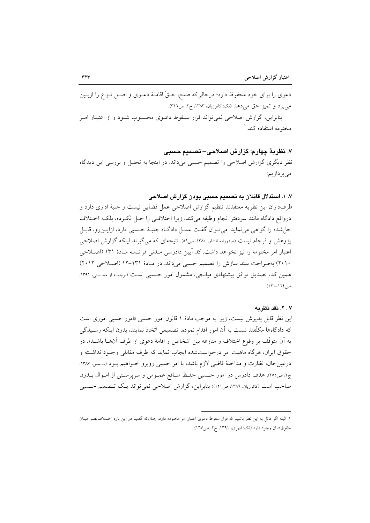دعوی را برای خود محفوظ دارد؛ درحالیکه صلح، حـقٌّ اقامـهٔ دعـوی و اصـل نـزاع را ازبــین می بر د و تمیز حق می دهد (نک: کاتوزیان، ۱۳۸۳، ج۲، ص۳۱٦). بنابراین، گزارش اصلاحی نمی تواند قرار سـقوط دعــوی محـسوب شــود و از اعتبــار امــر مختومه استفاده کند.<sup>۱</sup>

### ٧. نظريهٔ چهارم: گزارش اصلاحی– تصميم حسبي

نظر دیگری گزارش اصلاحی را تصمیم حسبی میداند. در اینجا به تحلیل و بررسی این دیدگاه می پر دازیم:

### ۷. ۱. استدلال قائلان به تصمیم حسبی بودن گزارش اصلاحی

طرفداران این نظریه معتقدند تنظیم گزارش اصلاحی عمل قضایی نیست و جنبهٔ اداری دارد و درواقع دادگاه مانند سردفتر انجام وظيفه مىكند، زيرا اختلافـي را حـل نكـرده، بلكـه اخــتلاف حل شده را گواهی می نماید. می توان گفت عمـل دادگـاه جنبـهٔ حـسبی دارد، ازایــنرو، قابـل پژوهش و فرجام نیست (صدرزاده افشار، ۱۳۸۰، ص٥٩). نتیجهای که می گیرند اینکه گزارش اصلاحی اعتبار امر مختومه را نیز نخواهد داشت. کد آیین دادرسی مـدنی فرانـسه مـادهٔ ۱۳۱ (اصـلاحی ۲۰۱۰) بهصراحت سند سازش را تصمیم حسبی میداند. در مادهٔ ۱۳۱-۱۲ (اصلاحی ۲۰۱۲) همین کد، تصدیق توافق پیشنهادی میانجی، مشمول امور حسبی است (ترجمه از محسنی، ۱۳۹۱، ص ١٢٤-١٢١).

#### ٢ . ٧. نقد نظر به

این نظر قابل پذیرش نیست، زیرا به موجب مادهٔ ۱ قانون امور حسبی «امور حسبی اموری است که دادگاهها مکلّفند نسبت به آن امور اقدام نموده، تصمیمی اتخاذ نمایند، بدون اینکه رسـیدگی به آن متوقِّف بر وقوع اختلاف و منازعه بین اشخاص و اقامهٔ دعوی از طرف آنهــا باشــد». در حقوق ايران، هرگاه ماهيت امر درخواستشده ايجاب نمايد كه طرف مقابلي وجـود نداشـته و درعين حال، نظارت و مداخلهٔ قاضي لازم باشد، با امر حسبي روبرو خـواهيم بـود (شـمس، ۱۳۸۷، ج۲، ص٢٥٥). هدف دادرس در امور حسبي حفظ منـافع عمـومي و سرپرسـتي از امـوال بــدون صاحب است (کاتوزیان، ۱۳۸۶، ص۱۲۱)؛ بنابراین، گزارش اصلاحی نمی تواند یک تـصمیم حـسبی

١. البته اگر قائل به این نظر باشیم که قرار سقوط دعوی اعتبار امر مختومه دارد. چنانکه گفتیم در این باره اخـتلاف:نظـر میـان حقوق دانان وجود دارد (نک: ابهری، ۱۳۹۱، ج۲، ص۱٦۷).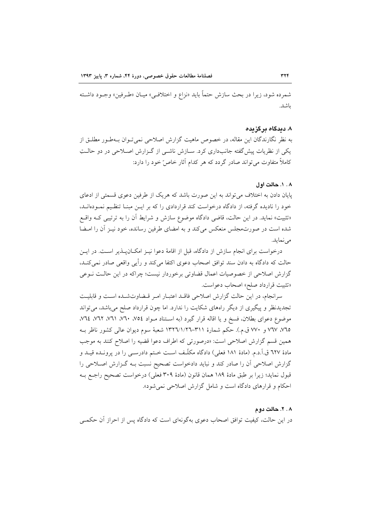شمرده شود، زيرا در بحث سازش حتماً بايد «نزاع و اختلافـي» ميـان «طـرفين» وجـود داشـته ىاشد.

#### ۸. دىدگاه ىر گزىدە

به نظر نگارندگان این مقاله، در خصوص ماهیت گزارش اصلاحی نمی تـوان بــهطـور مطلــق از یکی از نظریات پیش گفته جانبداری کرد. سـازش ناشـی از گـزارش اصـلاحی در دو حالـتِ کاملاً متفاوت می تواند صادر گردد که هر کدام آثار خاص ّخود را دارد:

### ۰۰.۸ دالت اول

پایان دادن به اختلاف می تواند به این صورت باشد که هریک از طرفین دعوی قسمتی از ادعای خود را نادیده گرفته، از دادگاه درخواست کند قراردادی را که بر ایـن مبنـا تنظـیم نمـودهانـد، «تثبیت» نماید. در این حالت، قاضی دادگاه موضوع سازش و شرایط آن را به ترتیبی کـه واقـع شده است در صورتمجلس منعکس میکند و به امضای طرفین رسانده، خود نیـز آن را امــضا مي نمايد.

درخواست برای انجام سازش از دادگاه، قبل از اقامهٔ دعوا نیـز امکـانپــذیر اسـت. در ایـن حالت که دادگاه به دادن سند توافق اصحاب دعوی اکتفا میکند و رأیی واقعی صادر نمیکند، گزارش اصلاحی از خصوصیات اعمال قضاوتی برخوردار نیست؛ چراکه در این حالـت نــوعی «تثبيت قرارداد صلح» اصحاب دعواست.

سرانجام، در این حالت گزارش اصلاحی فاقـد اعتبـار امـر قـضاوتشـده اسـت و قابليـت تجدیدنظر و پیگیری از دیگر راههای شکایت را ندارد. اما چون قرارداد صلح میباشد، میتواند موضوع دعواي بطلان، فسخ و يا اقاله قرار گيرد (به استناد مـواد ٧٥٤، ٧٦٠، ٧٦١، ٧٦٢، ٧٦٤، ٧٦٤، ٧٦٥، ٧٦٧ و ٧٧٠ ق.م.). حكم شمارة ٣١١–١٣٢٦/١/٢٦ شعبة سوم ديوان عالمي كشور ناظر بـه همین قسم گزارش اصلاحی است: «درصورتی که اطراف دعوا قضیه را اصلاح کنند به موجب مادهٔ ٦٢٧ ق.آ.د.م. (مادهٔ ١٨١ فعلي) دادگاه مكلّف است خـتم دادرســي را در پرونــده قيــد و گزارش اصلاحی آن را صادر کند و نباید دادخواست تصحیح نسبت بـه گـزارش اصـلاحی را قبول نمايد؛ زيرا بر طبق مادة ١٨٩ همان قانون (مادة ٣٠٩ فعلي) درخواست تصحيح راجـع بـه احکام و قرارهای دادگاه است و شامل گزارش اصلاحی نمی شود».

#### ۰۸. ۲. حالت دوم

در این حالت، کیفیت توافق اصحاب دعوی بهگونهای است که دادگاه پس از احراز آن حکمــی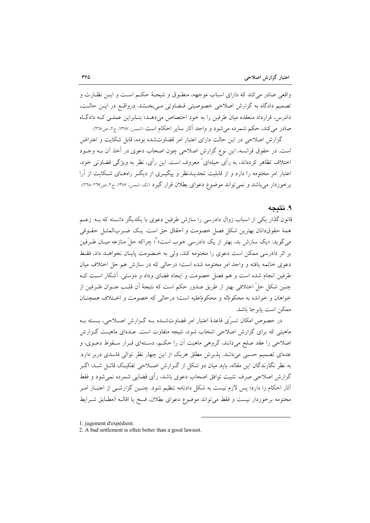واقعی صادر می کند که دارای اسباب موجهه، منطـوق و نتیجـهٔ حکـم اسـت و ایـن نظـارت و تصمیم دادگاه به گزارش اصلاحی خصوصیتی قـضاوتی مـی بخـشد. درواقـع در ایـن حالـت، دادرس، قرارداد منعقده میان طرفین را به خود اختصاص میدهـد؛ بنـابراین عملـی کـه دادگـاه صادر مي كند، حكم شمرده مي شود و واجد آثار ساير احكام است (شمس، ۱۳۸۷، ج۲، ص۲۳۸).

گزارش اصلاحی در این حالت دارای اعتبار امر قضاوتشده بوده، قابل شکایت و اعتراض است. در حقوق فرانسه، این نوع گزارش اصلاحی چون اصحاب دعوی در أخذ آن بــه وجــود اختلاف تظاهر کردهاند، به رأى حيلهاى` معروف است. اين رأى، نظر به ويژگي قضاوتي خود، اعتبار امر مختومه را دارد و از قابلیت تجدیــدنظر و پیگیــری از دیگــر راههــای شــکایت از آرا برخوردار میباشد و نمیتواند موضوع دعوای بطلان قرار گیرد (نک: شمس، ۱۳۸۷، ج۲، ص۲۶۹-۲۳۸).

# ۹. نتىجە

قانون گذار یکی از اسباب زوال دادرسی را سازش طرفین دعوی با یکدیگر دانسته که بــه زعــم همهٔ حقوقدانان بهترین شکل فصل خصومت و احقاق حق است. یـک ضـربالمشـل حقـوقی می گوید: «یک سازش بد، بهتر از یک دادرسی خوب است»<sup>۲</sup>؛ چراکه حلّ منازعه میــان طــرفین بر اثر دادرسی ممکن است دعوی را مختومه کند، ولی به خـصومت پایـان نخواهــد داد، فقـط دعوی خاتمه یافته و واجد امر مختومه شده است؛ درحالی که در سازش هم حل اختلاف میان طرفین انجام شده است و هم فصل خصومت و ایجاد فضای وداد و دوستی. آشکار است ک چنین شکل حلِّ اختلافی بهتر از طریق صدور حکم است که نتیجهٔ آن قلـب عنــوان طــرفین از خواهان و خوانده به محکومٌله و محکومٌعليه است؛ درحالي که خصومت و اخـتلاف همچنــان ممكن است يابرجا باشد.

در خصوص امکان تسرّی قاعدهٔ اعتبار امر قضاوتشـده بــه گــزارش اصــلاحی، بــسته بــه ماهیتی که برای گزارش اصلاحی انتخاب شود، نتیجه متفاوت است. عـدمای ماهیـت گـزارش اصلاحی را عقد صلح می دانند، گروهی ماهیت آن را حکسه، دسـتهای قبرار سـقوط دعـوی، و عدهای تصمیم حسبی میدانند. پذیرش مطلق هریک از این چهار نظر توالی فاسدی دربر دارد. به نظر نگارندگان این مقاله، باید میان دو شکل از گـزارش اصـلاحی تفکیـک قائـل شــد: اگـر گزارش اصلاحی صرف تثبیت توافق اصحاب دعوی باشد، رأی قضایی شمرده نمی شود و فقط آثار احکام را دارد؛ پس لازم نیست به شکل دادنامه تنظیم شود. چنـین گزارشـی از اعتبـار ا*مـر* مختومه برخوردار نيست و فقط مي تواند موضوع دعواي بطلان، فسخ يا اقالـه (مطـابق شــرايط

1. jugement d'expédient.

<sup>2.</sup> A bad settlement is often better than a good lawsuit.